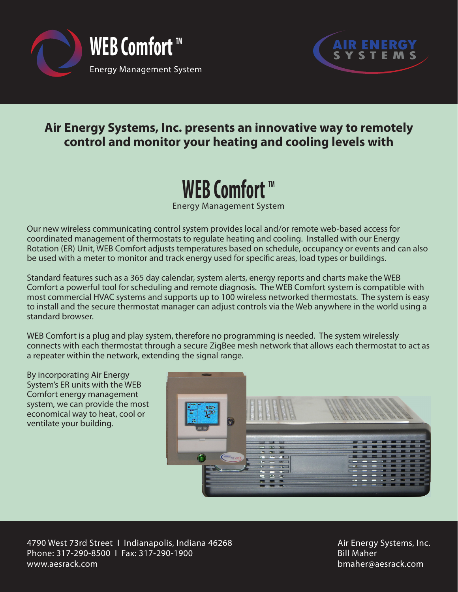



## **Air Energy Systems, Inc. presents an innovative way to remotely control and monitor your heating and cooling levels with**

## **WEB Comfort** ™

Energy Management System

Our new wireless communicating control system provides local and/or remote web-based access for coordinated management of thermostats to regulate heating and cooling. Installed with our Energy Rotation (ER) Unit, WEB Comfort adjusts temperatures based on schedule, occupancy or events and can also be used with a meter to monitor and track energy used for specific areas, load types or buildings.

Standard features such as a 365 day calendar, system alerts, energy reports and charts make the WEB Comfort a powerful tool for scheduling and remote diagnosis. The WEB Comfort system is compatible with most commercial HVAC systems and supports up to 100 wireless networked thermostats. The system is easy to install and the secure thermostat manager can adjust controls via the Web anywhere in the world using a standard browser.

WEB Comfort is a plug and play system, therefore no programming is needed. The system wirelessly connects with each thermostat through a secure ZigBee mesh network that allows each thermostat to act as a repeater within the network, extending the signal range.

By incorporating Air Energy System's ER units with the WEB Comfort energy management system, we can provide the most economical way to heat, cool or ventilate your building.



4790 West 73rd Street I Indianapolis, Indiana 46268 Phone: 317-290-8500 I Fax: 317-290-1900 www.aesrack.com

Air Energy Systems, Inc. Bill Maher bmaher@aesrack.com